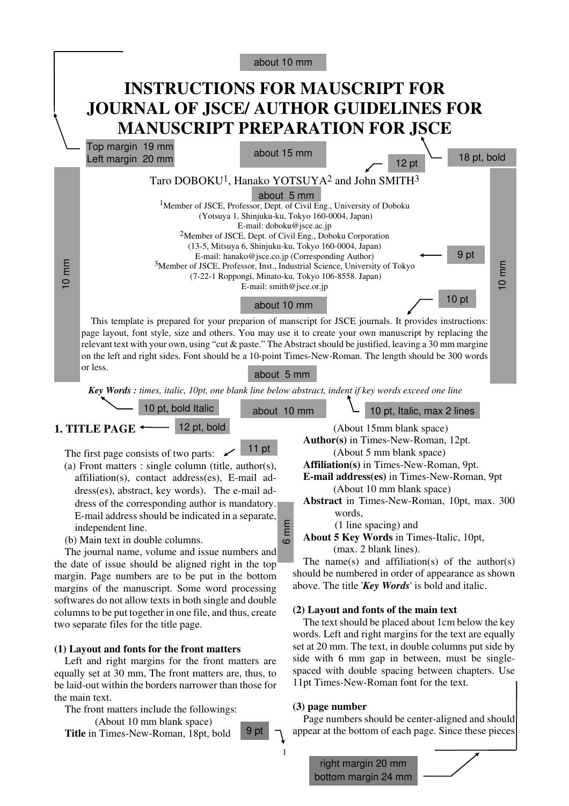|                                                                                                                                                                                                                                                                                                                                                                                                                                                                                                                                                                                                                                                                                                                                           | about 10 mm                                                                                                                                                                                                                                                                                                                                                                                                                                                                                                                                                                                                 |                                                                                                                                                                                                                                                                                                                                                                                                                                                                                                          |
|-------------------------------------------------------------------------------------------------------------------------------------------------------------------------------------------------------------------------------------------------------------------------------------------------------------------------------------------------------------------------------------------------------------------------------------------------------------------------------------------------------------------------------------------------------------------------------------------------------------------------------------------------------------------------------------------------------------------------------------------|-------------------------------------------------------------------------------------------------------------------------------------------------------------------------------------------------------------------------------------------------------------------------------------------------------------------------------------------------------------------------------------------------------------------------------------------------------------------------------------------------------------------------------------------------------------------------------------------------------------|----------------------------------------------------------------------------------------------------------------------------------------------------------------------------------------------------------------------------------------------------------------------------------------------------------------------------------------------------------------------------------------------------------------------------------------------------------------------------------------------------------|
|                                                                                                                                                                                                                                                                                                                                                                                                                                                                                                                                                                                                                                                                                                                                           | <b>INSTRUCTIONS FOR MAUSCRIPT FOR</b>                                                                                                                                                                                                                                                                                                                                                                                                                                                                                                                                                                       |                                                                                                                                                                                                                                                                                                                                                                                                                                                                                                          |
|                                                                                                                                                                                                                                                                                                                                                                                                                                                                                                                                                                                                                                                                                                                                           | <b>JOURNAL OF JSCE/ AUTHOR GUIDELINES FOR</b>                                                                                                                                                                                                                                                                                                                                                                                                                                                                                                                                                               |                                                                                                                                                                                                                                                                                                                                                                                                                                                                                                          |
|                                                                                                                                                                                                                                                                                                                                                                                                                                                                                                                                                                                                                                                                                                                                           | <b>MANUSCRIPT PREPARATION FOR JSCE</b>                                                                                                                                                                                                                                                                                                                                                                                                                                                                                                                                                                      |                                                                                                                                                                                                                                                                                                                                                                                                                                                                                                          |
|                                                                                                                                                                                                                                                                                                                                                                                                                                                                                                                                                                                                                                                                                                                                           | Top margin 19 mm<br>about 15 mm<br>Left margin 20 mm                                                                                                                                                                                                                                                                                                                                                                                                                                                                                                                                                        | 18 pt, bold<br>12 pt                                                                                                                                                                                                                                                                                                                                                                                                                                                                                     |
| $10 \text{ mm}$                                                                                                                                                                                                                                                                                                                                                                                                                                                                                                                                                                                                                                                                                                                           | Taro DOBOKU <sup>1</sup> , Hanako YOTSUYA <sup>2</sup> and John SMITH <sup>3</sup><br>about 5 mm<br><sup>1</sup> Member of JSCE, Professor, Dept. of Civil Eng., University of Doboku<br>(Yotsuya 1, Shinjuku-ku, Tokyo 160-0004, Japan)<br>E-mail: doboku@jsce.ac.jp<br><sup>2</sup> Member of JSCE, Dept. of Civil Eng., Doboku Corporation<br>(13-5, Mitsuya 6, Shinjuku-ku, Tokyo 160-0004, Japan)<br>E-mail: hanako@jsce.co.jp (Corresponding Author)<br><sup>3</sup> Member of JSCE, Professor, Inst., Industrial Science, University of Tokyo<br>(7-22-1 Roppongi, Minato-ku, Tokyo 106-8558. Japan) | 9 pt<br>$10 \text{ mm}$<br>10 <sub>pt</sub>                                                                                                                                                                                                                                                                                                                                                                                                                                                              |
|                                                                                                                                                                                                                                                                                                                                                                                                                                                                                                                                                                                                                                                                                                                                           | or less.                                                                                                                                                                                                                                                                                                                                                                                                                                                                                                                                                                                                    |                                                                                                                                                                                                                                                                                                                                                                                                                                                                                                          |
| E-mail: smith@jsce.or.jp<br>about 10 mm<br>This template is prepared for your preparion of manscript for JSCE journals. It provides instructions:<br>page layout, font style, size and others. You may use it to create your own manuscript by replacing the<br>relevant text with your own, using "cut & paste." The Abstract should be justified, leaving a 30 mm margine<br>on the left and right sides. Font should be a 10-point Times-New-Roman. The length should be 300 words<br>about 5 mm<br>Key Words : times, italic, 10pt, one blank line below abstract, indent if key words exceed one line<br>10 pt, bold Italic<br>10 pt, Italic, max 2 lines<br>about 10 mm<br>12 pt, bold<br>1. TITLE PAGE<br>(About 15mm blank space) |                                                                                                                                                                                                                                                                                                                                                                                                                                                                                                                                                                                                             |                                                                                                                                                                                                                                                                                                                                                                                                                                                                                                          |
|                                                                                                                                                                                                                                                                                                                                                                                                                                                                                                                                                                                                                                                                                                                                           |                                                                                                                                                                                                                                                                                                                                                                                                                                                                                                                                                                                                             |                                                                                                                                                                                                                                                                                                                                                                                                                                                                                                          |
|                                                                                                                                                                                                                                                                                                                                                                                                                                                                                                                                                                                                                                                                                                                                           | 11 pt<br>The first page consists of two parts:<br>(a) Front matters : single column (title, author(s),<br>affiliation(s), contact address(es), E-mail ad-<br>dress(es), abstract, key words). The e-mail ad-<br>dress of the corresponding author is mandatory.<br>E-mail address should be indicated in a separate,<br>6 mm<br>independent line.<br>(b) Main text in double columns.<br>The journal name, volume and issue numbers and<br>the date of issue should be aligned right in the top<br>margin. Page numbers are to be put in the bottom<br>margins of the manuscript. Some word processing      | Author(s) in Times-New-Roman, 12pt.<br>(About 5 mm blank space)<br>Affiliation(s) in Times-New-Roman, 9pt.<br>E-mail address(es) in Times-New-Roman, 9pt<br>(About 10 mm blank space)<br>Abstract in Times-New-Roman, 10pt, max. 300<br>words,<br>(1 line spacing) and<br>About 5 Key Words in Times-Italic, 10pt,<br>(max. 2 blank lines).<br>The name(s) and affiliation(s) of the author(s)<br>should be numbered in order of appearance as shown<br>above. The title 'Key Words' is bold and italic. |
|                                                                                                                                                                                                                                                                                                                                                                                                                                                                                                                                                                                                                                                                                                                                           | softwares do not allow texts in both single and double<br>columns to be put together in one file, and thus, create<br>two separate files for the title page.                                                                                                                                                                                                                                                                                                                                                                                                                                                | (2) Layout and fonts of the main text<br>The text should be placed about 1cm below the key                                                                                                                                                                                                                                                                                                                                                                                                               |

#### **(1) Layout and fonts for the front matters**

Left and right margins for the front matters are equally set at 30 mm, The front matters are, thus, to be laid-out within the borders narrower than those for the main text.

The front matters include the followings:

(About 10 mm blank space) **Title** in Times-New-Roman, 18pt, bold words. Left and right margins for the text are equally set at 20 mm. The text, in double columns put side by side with 6 mm gap in between, must be singlespaced with double spacing between chapters. Use 11pt Times-New-Roman font for the text.

#### **(3) page number**

1

9 pt

Page numbers should be center-aligned and should appear at the bottom of each page. Since these pieces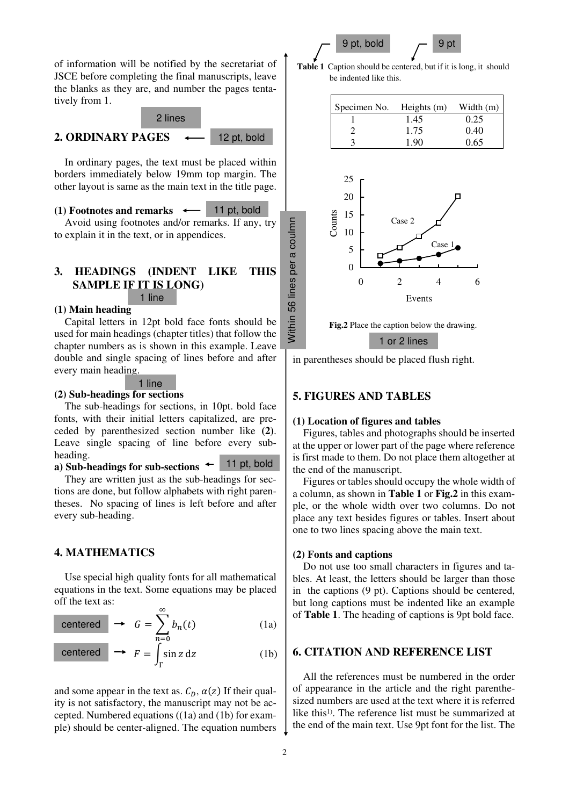$9$  pt, bold  $-9$  pt

of information will be notified by the secretariat of JSCE before completing the final manuscripts, leave the blanks as they are, and number the pages tentatively from 1.

#### 2 lines

#### **2. ORDINARY PAGES**

12 pt, bold

Within 56 lines per a coulmn

56

**Nithin** 

lines per a coulmn

In ordinary pages, the text must be placed within borders immediately below 19mm top margin. The other layout is same as the main text in the title page.

#### **(1) Footnotes and remarks** 11 pt, bold

Avoid using footnotes and/or remarks. If any, try to explain it in the text, or in appendices.

# **3. HEADINGS (INDENT LIKE THIS SAMPLE IF IT IS LONG)**

### 1 line

### **(1) Main heading**

Capital letters in 12pt bold face fonts should be used for main headings (chapter titles) that follow the chapter numbers as is shown in this example. Leave double and single spacing of lines before and after every main heading.



### **(2) Sub-headings for sections**

The sub-headings for sections, in 10pt. bold face fonts, with their initial letters capitalized, are preceded by parenthesized section number like **(2)**. Leave single spacing of line before every subheading.

**a) Sub-headings for sub-sections**  11 pt, bold

They are written just as the sub-headings for sections are done, but follow alphabets with right parentheses. No spacing of lines is left before and after every sub-heading.

### **4. MATHEMATICS**

Use special high quality fonts for all mathematical equations in the text. Some equations may be placed off the text as:  $\infty$ 

centered 
$$
\rightarrow
$$
  $G = \sum_{n=0}^{n} b_n(t)$  (1a)

$$
\text{centered} \quad \longrightarrow \quad F = \int_{\Gamma}^{n=0} \sin z \, dz \tag{1b}
$$

and some appear in the text as.  $C_D$ ,  $\alpha(z)$  If their quality is not satisfactory, the manuscript may not be accepted. Numbered equations ((1a) and (1b) for example) should be center-aligned. The equation numbers

**Table 1** Caption should be centered, but if it is long, it should be indented like this.



**Fig.2** Place the caption below the drawing.

1 or 2 lines

in parentheses should be placed flush right.

### **5. FIGURES AND TABLES**

#### **(1) Location of figures and tables**

Figures, tables and photographs should be inserted at the upper or lower part of the page where reference is first made to them. Do not place them altogether at the end of the manuscript.

Figures or tables should occupy the whole width of a column, as shown in **Table 1** or **Fig.2** in this example, or the whole width over two columns. Do not place any text besides figures or tables. Insert about one to two lines spacing above the main text.

#### **(2) Fonts and captions**

Do not use too small characters in figures and tables. At least, the letters should be larger than those in the captions (9 pt). Captions should be centered, but long captions must be indented like an example of **Table 1**. The heading of captions is 9pt bold face.

### **6. CITATION AND REFERENCE LIST**

All the references must be numbered in the order of appearance in the article and the right parenthesized numbers are used at the text where it is referred like this1). The reference list must be summarized at the end of the main text. Use 9pt font for the list. The